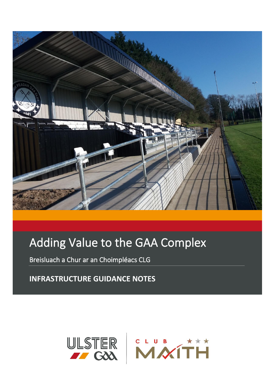

# Adding Value to the GAA Complex

Breisluach a Chur ar an Choimpléacs CLG

**INFRASTRUCTURE GUIDANCE NOTES**

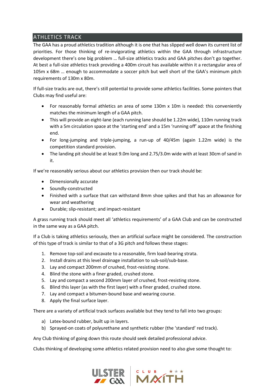## ATHLETICS TRACK

The GAA has a proud athletics tradition although it is one that has slipped well down its current list of priorities. For those thinking of re-invigorating athletics within the GAA through infrastructure development there's one big problem … full-size athletics tracks and GAA pitches don't go together. At best a full-size athletics track providing a 400m circuit has available within it a rectangular area of 105m x 68m … enough to accommodate a soccer pitch but well short of the GAA's minimum pitch requirements of 130m x 80m.

If full-size tracks are out, there's still potential to provide some athletics facilities. Some pointers that Clubs may find useful are:

- For reasonably formal athletics an area of some 130m x 10m is needed: this conveniently matches the minimum length of a GAA pitch.
- This will provide an eight-lane (each running lane should be 1.22m wide), 110m running track with a 5m circulation space at the 'starting end' and a 15m 'running off' apace at the finishing end.
- For long-jumping and triple-jumping, a run-up of 40/45m (again 1.22m wide) is the competition standard provision.
- The landing pit should be at least 9.0m long and 2.75/3.0m wide with at least 30cm of sand in it.

If we're reasonably serious about our athletics provision then our track should be:

- Dimensionally accurate
- Soundly-constructed
- Finished with a surface that can withstand 8mm shoe spikes and that has an allowance for wear and weathering
- Durable; slip-resistant; and impact-resistant

A grass running track should meet all 'athletics requirements' of a GAA Club and can be constructed in the same way as a GAA pitch.

If a Club is taking athletics seriously, then an artificial surface might be considered. The construction of this type of track is similar to that of a 3G pitch and follows these stages:

- 1. Remove top-soil and excavate to a reasonable, firm load-bearing strata.
- 2. Install drains at this level drainage installation to sub-soil/sub-base.
- 3. Lay and compact 200mm of crushed, frost-resisting stone.
- 4. Blind the stone with a finer graded, crushed stone.
- 5. Lay and compact a second 200mm layer of crushed, frost-resisting stone.
- 6. Blind this layer (as with the first layer) with a finer graded, crushed stone.
- 7. Lay and compact a bitumen-bound base and wearing course.
- 8. Apply the final surface layer.

There are a variety of artificial track surfaces available but they tend to fall into two groups:

- a) Latex-bound rubber, built up in layers.
- b) Sprayed-on coats of polyurethane and synthetic rubber (the 'standard' red track).

Any Club thinking of going down this route should seek detailed professional advice.

Clubs thinking of developing some athletics related provision need to also give some thought to:



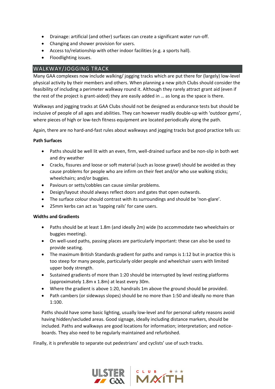- Drainage: artificial (and other) surfaces can create a significant water run-off.
- Changing and shower provision for users.
- Access to/relationship with other indoor facilities (e.g. a sports hall).
- Floodlighting issues.

#### WALKWAY/JOGGING TRACK

Many GAA complexes now include walking/ jogging tracks which are put there for (largely) low-level physical activity by their members and others. When planning a new pitch Clubs should consider the feasibility of including a perimeter walkway round it. Although they rarely attract grant aid (even if the rest of the project is grant-aided) they are easily added in … as long as the space is there.

Walkways and jogging tracks at GAA Clubs should not be designed as endurance tests but should be inclusive of people of all ages and abilities. They can however readily double-up with 'outdoor gyms', where pieces of high or low-tech fitness equipment are located periodically along the path.

Again, there are no hard-and-fast rules about walkways and jogging tracks but good practice tells us:

#### **Path Surfaces**

- Paths should be well lit with an even, firm, well-drained surface and be non-slip in both wet and dry weather
- Cracks, fissures and loose or soft material (such as loose gravel) should be avoided as they cause problems for people who are infirm on their feet and/or who use walking sticks; wheelchairs; and/or buggies.
- Paviours or setts/cobbles can cause similar problems.
- Design/layout should always reflect doors and gates that open outwards.
- The surface colour should contrast with its surroundings and should be 'non-glare'.
- 25mm kerbs can act as 'tapping rails' for cane users.

#### **Widths and Gradients**

- Paths should be at least 1.8m (and ideally 2m) wide (to accommodate two wheelchairs or buggies meeting).
- On well-used paths, passing places are particularly important: these can also be used to provide seating.
- The maximum British Standards gradient for paths and ramps is 1:12 but in practice this is too steep for many people, particularly older people and wheelchair users with limited upper body strength.
- Sustained gradients of more than 1:20 should be interrupted by level resting platforms (approximately 1.8m x 1.8m) at least every 30m.
- Where the gradient is above 1:20, handrails 1m above the ground should be provided.
- Path cambers (or sideways slopes) should be no more than 1:50 and ideally no more than 1:100.

Paths should have some basic lighting, usually low-level and for personal safety reasons avoid having hidden/secluded areas. Good signage, ideally including distance markers, should be included. Paths and walkways are good locations for information; interpretation; and noticeboards. They also need to be regularly maintained and refurbished.

Finally, it is preferable to separate out pedestrians' and cyclists' use of such tracks.

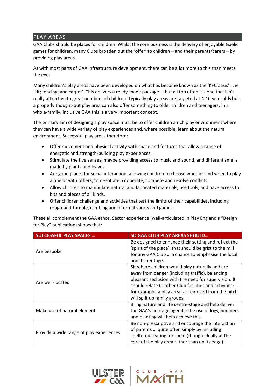### PLAY AREAS

GAA Clubs should be places for children. Whilst the core business is the delivery of enjoyable Gaelic games for children, many Clubs broaden out the 'offer' to children – and their parents/carers – by providing play areas.

As with most parts of GAA infrastructure development, there can be a lot more to this than meets the eye.

Many children's play areas have been developed on what has become known as the 'KFC basis' … ie 'kit; fencing; and carpet'. This delivers a ready-made package … but all too often it's one that isn't really attractive to great numbers of children. Typically play areas are targeted at 4-10 year-olds but a properly thought-out play area can also offer something to older children and teenagers. In a whole-family, inclusive GAA this is a very important concept.

The primary aim of designing a play space must be to offer children a rich play environment where they can have a wide variety of play experiences and, where possible, learn about the natural environment. Successful play areas therefore:

- Offer movement and physical activity with space and features that allow a range of energetic and strength-building play experiences.
- Stimulate the five senses, maybe providing access to music and sound, and different smells made by plants and leaves.
- Are good places for social interaction, allowing children to choose whether and when to play alone or with others, to negotiate, cooperate, compete and resolve conflicts.
- Allow children to manipulate natural and fabricated materials, use tools, and have access to bits and pieces of all kinds.
- Offer children challenge and activities that test the limits of their capabilities, including rough-and-tumble, climbing and informal sports and games.

These all complement the GAA ethos. Sector experience (well-articulated in Play England's "Design for Play" publication) shows that:

| <b>SUCCESSFUL PLAY SPACES </b>            | SO GAA CLUB PLAY AREAS SHOULD                                                                                                                                                                                                                                                                               |
|-------------------------------------------|-------------------------------------------------------------------------------------------------------------------------------------------------------------------------------------------------------------------------------------------------------------------------------------------------------------|
| Are bespoke                               | Be designed to enhance their setting and reflect the<br>'spirit of the place': that should be grist to the mill<br>for any GAA Club  a chance to emphasise the local<br>and its heritage.                                                                                                                   |
| Are well-located                          | Sit where children would play naturally and are<br>away from danger (including traffic), balancing<br>pleasant seclusion with the need for supervision. It<br>should relate to other Club facilities and activities:<br>for example, a play area far removed from the pitch<br>will split up family groups. |
| Make use of natural elements              | Bring nature and life centre-stage and help deliver<br>the GAA's heritage agenda: the use of logs, boulders<br>and planting will help achieve this.                                                                                                                                                         |
| Provide a wide range of play experiences. | Be non-prescriptive and encourage the interaction<br>of parents  quite often simply by including<br>sheltered seating for them (though ideally at the<br>core of the play area rather than on its edge)                                                                                                     |



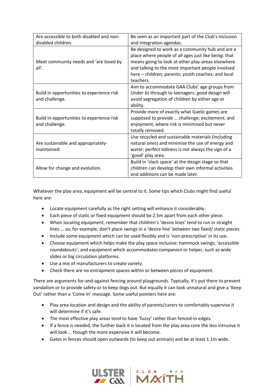| Are accessible to both disabled and non-                    | Be seen as an important part of the Club's inclusion                                                                                                                                                                                                                                  |  |
|-------------------------------------------------------------|---------------------------------------------------------------------------------------------------------------------------------------------------------------------------------------------------------------------------------------------------------------------------------------|--|
| disabled children.                                          | and integration agendas.                                                                                                                                                                                                                                                              |  |
| Meet community needs and 'are loved by<br>all'.             | Be designed to work as a community hub and are a<br>place where people of all ages just like being: that<br>means going to look at other play-areas elsewhere<br>and talking to the most important people involved<br>here - children; parents; youth coaches; and local<br>teachers. |  |
| Build in opportunities to experience risk<br>and challenge. | Aim to accommodate GAA Clubs' age groups from<br>Under 6s through to teenagers: good design will<br>avoid segregation of children by either age or<br>ability.                                                                                                                        |  |
| Build in opportunities to experience risk<br>and challenge. | Provide more of exactly what Gaelic games are<br>supposed to provide  challenge; excitement; and<br>enjoyment, where risk is minimised but never<br>totally removed.                                                                                                                  |  |
| Are sustainable and appropriately-<br>maintained.           | Use recycled and sustainable materials (including<br>natural ones) and minimise the use of energy and<br>water: perfect tidiness is not always the sign of a<br>'good' play area.                                                                                                     |  |
| Allow for change and evolution.                             | Build in 'slack space' at the design stage so that<br>children can develop their own informal activities<br>and additions can be made later.                                                                                                                                          |  |

Whatever the play area, equipment will be central to it. Some tips which Clubs might find useful here are:

- Locate equipment carefully as the right setting will enhance it considerably.
- Each piece of static or fixed equipment should be 2.5m apart from each other piece.
- When locating equipment, remember that children's 'desire lines' tend to run in straight lines … so, for example, don't place swings in a 'desire line' between two fixed/ static pieces.
- Include some equipment which can be used flexibly and is 'non-prescriptive' in its use.
- Choose equipment which helps make the play space inclusive: hammock swings; 'accessible roundabouts'; and equipment which accommodates companion or helper, such as wide slides or big circulation platforms.
- Use a mix of manufacturers to create variety.
- Check there are no entrapment spaces within or between pieces of equipment.

There are arguments for-and-against fencing around playgrounds. Typically, it's put there to prevent vandalism or to provide safety or to keep dogs out. But equally it can look unnatural and give a 'Keep Out' rather than a 'Come In' message. Some useful pointers here are:

- Play area location and design and the ability of parents/carers to comfortably supervise it will determine if it's safe.
- The most effective play areas tend to have 'fuzzy' rather than fenced-in edges.
- If a fence is needed, the further back it is located from the play area core the less intrusive it will look … though the more expensive it will become.
- Gates in fences should open outwards (to keep out animals) and be at least 1.1m wide.



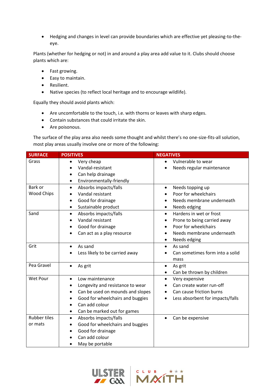• Hedging and changes in level can provide boundaries which are effective yet pleasing-to-theeye.

Plants (whether for hedging or not) in and around a play area add value to it. Clubs should choose plants which are:

- Fast growing.
- Easy to maintain.
- Resilient.
- Native species (to reflect local heritage and to encourage wildlife).

Equally they should avoid plants which:

- Are uncomfortable to the touch, i.e. with thorns or leaves with sharp edges.
- Contain substances that could irritate the skin.
- Are poisonous.

The surface of the play area also needs some thought and whilst there's no one-size-fits-all solution, most play areas usually involve one or more of the following:

| <b>SURFACE</b>      | <b>POSITIVES</b>                              | <b>NEGATIVES</b>                              |
|---------------------|-----------------------------------------------|-----------------------------------------------|
| Grass               | Very cheap<br>$\bullet$                       | Vulnerable to wear<br>$\bullet$               |
|                     | Vandal-resistant                              | Needs regular maintenance<br>$\bullet$        |
|                     | Can help drainage                             |                                               |
|                     | Environmentally-friendly<br>٠                 |                                               |
| Bark or             | Absorbs impacts/falls<br>$\bullet$            | Needs topping up<br>$\bullet$                 |
| <b>Wood Chips</b>   | Vandal resistant                              | Poor for wheelchairs                          |
|                     | Good for drainage                             | Needs membrane underneath                     |
|                     | Sustainable product<br>٠                      | Needs edging<br>$\bullet$                     |
| Sand                | Absorbs impacts/falls<br>$\bullet$            | Hardens in wet or frost<br>$\bullet$          |
|                     | Vandal resistant                              | Prone to being carried away                   |
|                     | Good for drainage                             | Poor for wheelchairs                          |
|                     | Can act as a play resource                    | Needs membrane underneath                     |
|                     |                                               | Needs edging<br>$\bullet$                     |
| Grit                | As sand<br>$\bullet$                          | As sand<br>$\bullet$                          |
|                     | Less likely to be carried away                | Can sometimes form into a solid               |
|                     |                                               | mass                                          |
| Pea Gravel          | As grit<br>$\bullet$                          | As grit<br>$\bullet$                          |
|                     |                                               | Can be thrown by children<br>٠                |
| Wet Pour            | Low maintenance<br>$\bullet$                  | Very expensive<br>$\bullet$                   |
|                     | Longevity and resistance to wear              | Can create water run-off                      |
|                     | Can be used on mounds and slopes<br>$\bullet$ | Can cause friction burns                      |
|                     | Good for wheelchairs and buggies              | Less absorbent for impacts/falls<br>$\bullet$ |
|                     | Can add colour                                |                                               |
|                     | Can be marked out for games<br>٠              |                                               |
| <b>Rubber tiles</b> | Absorbs impacts/falls<br>$\bullet$            | Can be expensive<br>$\bullet$                 |
| or mats             | Good for wheelchairs and buggies<br>$\bullet$ |                                               |
|                     | Good for drainage<br>$\bullet$                |                                               |
|                     | Can add colour                                |                                               |
|                     | May be portable                               |                                               |



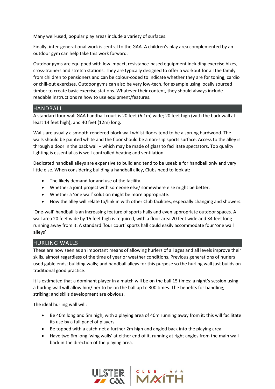Many well-used, popular play areas include a variety of surfaces.

Finally, inter-generational work is central to the GAA. A children's play area complemented by an outdoor gym can help take this work forward.

Outdoor gyms are equipped with low impact, resistance-based equipment including exercise bikes, cross-trainers and stretch stations. They are typically designed to offer a workout for all the family from children to pensioners and can be colour-coded to indicate whether they are for toning, cardio or chill-out exercises. Outdoor gyms can also be very low-tech, for example using locally sourced timber to create basic exercise stations. Whatever their content, they should always include readable instructions re how to use equipment/features.

#### HANDBALL

A standard four-wall GAA handball court is 20 feet (6.1m) wide; 20 feet high (with the back wall at least 14 feet high); and 40 feet (12m) long.

Walls are usually a smooth-rendered block wall whilst floors tend to be a sprung hardwood. The walls should be painted white and the floor should be a non-slip sports surface. Access to the alley is through a door in the back wall – which may be made of glass to facilitate spectators. Top quality lighting is essential as is well-controlled heating and ventilation.

Dedicated handball alleys are expensive to build and tend to be useable for handball only and very little else. When considering building a handball alley, Clubs need to look at:

- The likely demand for and use of the facility.
- Whether a joint project with someone else/ somewhere else might be better.
- Whether a 'one wall' solution might be more appropriate.
- How the alley will relate to/link in with other Club facilities, especially changing and showers.

'One-wall' handball is an increasing feature of sports halls and even appropriate outdoor spaces. A wall area 20 feet wide by 15 feet high is required, with a floor area 20 feet wide and 34 feet long running away from it. A standard 'four court' sports hall could easily accommodate four 'one wall alleys'

#### HURLING WALLS

These are now seen as an important means of allowing hurlers of all ages and all levels improve their skills, almost regardless of the time of year or weather conditions. Previous generations of hurlers used gable ends; building walls; and handball alleys for this purpose so the hurling wall just builds on traditional good practice.

It is estimated that a dominant player in a match will be on the ball 15 times: a night's session using a hurling wall will allow him/ her to be on the ball up to 300 times. The benefits for handling; striking; and skills development are obvious.

The ideal hurling wall will:

- Be 40m long and 5m high, with a playing area of 40m running away from it: this will facilitate its use by a full panel of players.
- Be topped with a catch-net a further 2m high and angled back into the playing area.
- Have two 6m long 'wing walls' at either end of it, running at right angles from the main wall back in the direction of the playing area.

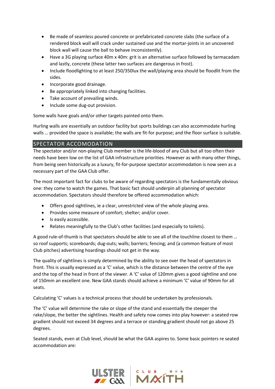- Be made of seamless poured concrete or prefabricated concrete slabs (the surface of a rendered block wall will crack under sustained use and the mortar-joints in an uncovered block wall will cause the ball to behave inconsistently).
- Have a 3G playing surface 40m x 40m: grit is an alternative surface followed by tarmacadam and lastly, concrete (these latter two surfaces are dangerous in frost).
- Include floodlighting to at least 250/350lux the wall/playing area should be floodlit from the sides.
- Incorporate good drainage.
- Be appropriately linked into changing facilities.
- Take account of prevailing winds.
- Include some dug-out provision.

Some walls have goals and/or other targets painted onto them.

Hurling walls are essentially an outdoor facility but sports buildings can also accommodate hurling walls … provided the space is available; the walls are fit-for purpose; and the floor surface is suitable.

## SPECTATOR ACCOMODATION

The spectator and/or non-playing Club member is the life-blood of any Club but all too often their needs have been low on the list of GAA infrastructure priorities. However as with many other things, from being seen historically as a luxury, fit-for-purpose spectator accommodation is now seen as a necessary part of the GAA Club offer.

The most important fact for clubs to be aware of regarding spectators is the fundamentally obvious one: they come to watch the games. That basic fact should underpin all planning of spectator accommodation. Spectators should therefore be offered accommodation which:

- Offers good sightlines, ie a clear, unrestricted view of the whole playing area.
- Provides some measure of comfort; shelter; and/or cover.
- Is easily accessible.
- Relates meaningfully to the Club's other facilities (and especially to toilets).

A good rule-of-thumb is that spectators should be able to see all of the touchline closest to them … so roof supports; scoreboards; dug-outs; walls; barriers; fencing; and (a common feature of most Club pitches) advertising hoardings should not get in the way.

The quality of sightlines is simply determined by the ability to see over the head of spectators in front. This is usually expressed as a 'C' value, which is the distance between the centre of the eye and the top of the head in front of the viewer. A 'C' value of 120mm gives a good sightline and one of 150mm an excellent one. New GAA stands should achieve a minimum 'C' value of 90mm for all seats.

Calculating 'C' values is a technical process that should be undertaken by professionals.

The 'C' value will determine the rake or slope of the stand and essentially the steeper the rake/slope, the better the sightlines. Health and safety now comes into play however: a seated row gradient should not exceed 34 degrees and a terrace or standing gradient should not go above 25 degrees.

Seated stands, even at Club level, should be what the GAA aspires to. Some basic pointers re seated accommodation are: